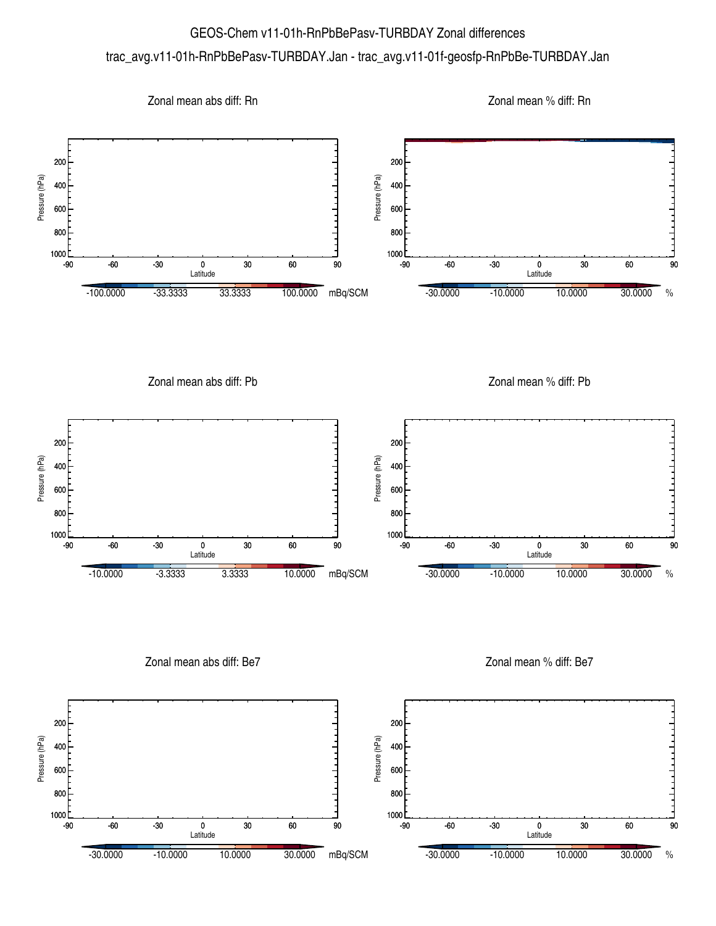## GEOS-Chem v11-01h-RnPbBePasv-TURBDAY Zonal differences trac\_avg.v11-01h-RnPbBePasv-TURBDAY.Jan - trac\_avg.v11-01f-geosfp-RnPbBe-TURBDAY.Jan